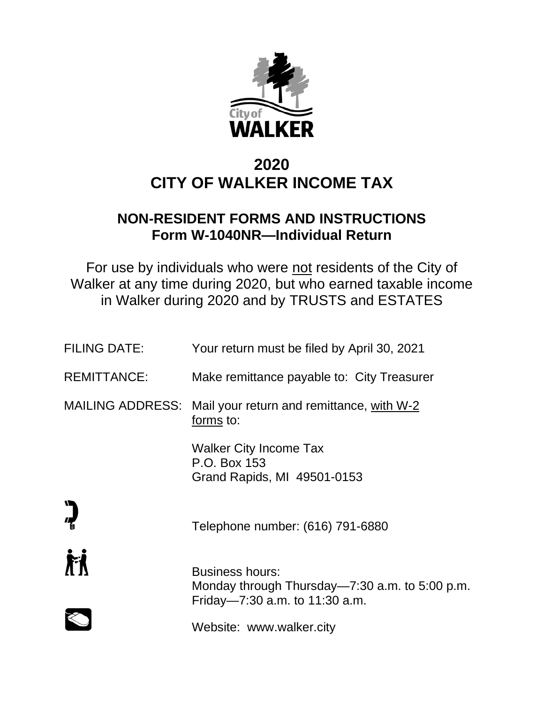

# **2020 CITY OF WALKER INCOME TAX**

# **NON-RESIDENT FORMS AND INSTRUCTIONS Form W-1040NR—Individual Return**

For use by individuals who were not residents of the City of Walker at any time during 2020, but who earned taxable income in Walker during 2020 and by TRUSTS and ESTATES

| <b>FILING DATE:</b> | Your return must be filed by April 30, 2021                                                                |
|---------------------|------------------------------------------------------------------------------------------------------------|
| <b>REMITTANCE:</b>  | Make remittance payable to: City Treasurer                                                                 |
|                     | MAILING ADDRESS: Mail your return and remittance, with W-2<br>forms to:                                    |
|                     | Walker City Income Tax<br>P.O. Box 153<br>Grand Rapids, MI 49501-0153                                      |
|                     | Telephone number: (616) 791-6880                                                                           |
| 盾                   | <b>Business hours:</b><br>Monday through Thursday—7:30 a.m. to 5:00 p.m.<br>Friday-7:30 a.m. to 11:30 a.m. |
|                     | Website: www.walker.city                                                                                   |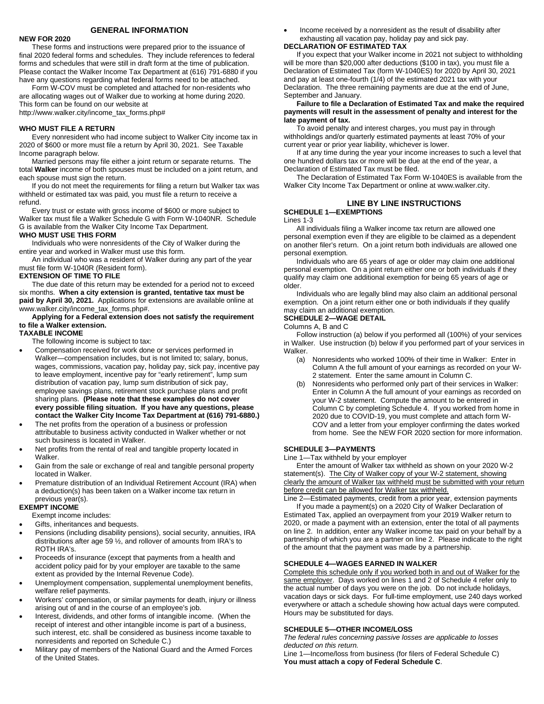# **GENERAL INFORMATION**

## **NEW FOR 2020**

These forms and instructions were prepared prior to the issuance of final 2020 federal forms and schedules. They include references to federal forms and schedules that were still in draft form at the time of publication. Please contact the Walker Income Tax Department at (616) 791-6880 if you have any questions regarding what federal forms need to be attached.

Form W-COV must be completed and attached for non-residents who are allocating wages out of Walker due to working at home during 2020. This form can be found on our website at

http://www.walker.city/income\_tax\_forms.php#

#### **WHO MUST FILE A RETURN**

Every nonresident who had income subject to Walker City income tax in 2020 of \$600 or more must file a return by April 30, 2021. See Taxable Income paragraph below.

Married persons may file either a joint return or separate returns. The total **Walker** income of both spouses must be included on a joint return, and each spouse must sign the return.

If you do not meet the requirements for filing a return but Walker tax was withheld or estimated tax was paid, you must file a return to receive a refund.

Every trust or estate with gross income of \$600 or more subject to Walker tax must file a Walker Schedule G with Form W-1040NR. Schedule G is available from the Walker City Income Tax Department.

#### **WHO MUST USE THIS FORM**

Individuals who were nonresidents of the City of Walker during the entire year and worked in Walker must use this form.

An individual who was a resident of Walker during any part of the year must file form W-1040R (Resident form).

#### **EXTENSION OF TIME TO FILE**

The due date of this return may be extended for a period not to exceed six months. **When a city extension is granted, tentative tax must be paid by April 30, 2021.** Applications for extensions are available online at www.walker.city/income\_tax\_forms.php#.

## **Applying for a Federal extension does not satisfy the requirement to file a Walker extension.**

**TAXABLE INCOME**

The following income is subject to tax:

- Compensation received for work done or services performed in Walker—compensation includes, but is not limited to; salary, bonus, wages, commissions, vacation pay, holiday pay, sick pay, incentive pay to leave employment, incentive pay for "early retirement", lump sum distribution of vacation pay, lump sum distribution of sick pay, employee savings plans, retirement stock purchase plans and profit sharing plans. **(Please note that these examples do not cover every possible filing situation. If you have any questions, please contact the Walker City Income Tax Department at (616) 791-6880.)**
- The net profits from the operation of a business or profession attributable to business activity conducted in Walker whether or not such business is located in Walker.
- Net profits from the rental of real and tangible property located in Walker.
- Gain from the sale or exchange of real and tangible personal property located in Walker.
- Premature distribution of an Individual Retirement Account (IRA) when a deduction(s) has been taken on a Walker income tax return in previous year(s).

#### **EXEMPT INCOME**

Exempt income includes:

- Gifts, inheritances and bequests.
- Pensions (including disability pensions), social security, annuities, IRA distributions after age 59 ½, and rollover of amounts from IRA's to ROTH IRA's.
- Proceeds of insurance (except that payments from a health and accident policy paid for by your employer are taxable to the same extent as provided by the Internal Revenue Code).
- Unemployment compensation, supplemental unemployment benefits, welfare relief payments.
- Workers' compensation, or similar payments for death, injury or illness arising out of and in the course of an employee's job.
- Interest, dividends, and other forms of intangible income. (When the receipt of interest and other intangible income is part of a business, such interest, etc. shall be considered as business income taxable to nonresidents and reported on Schedule C.)
- Military pay of members of the National Guard and the Armed Forces of the United States.

• Income received by a nonresident as the result of disability after exhausting all vacation pay, holiday pay and sick pay.

# **DECLARATION OF ESTIMATED TAX**

If you expect that your Walker income in 2021 not subject to withholding will be more than \$20,000 after deductions (\$100 in tax), you must file a Declaration of Estimated Tax (form W-1040ES) for 2020 by April 30, 2021 and pay at least one-fourth (1/4) of the estimated 2021 tax with your Declaration. The three remaining payments are due at the end of June, September and January.

#### **Failure to file a Declaration of Estimated Tax and make the required payments will result in the assessment of penalty and interest for the late payment of tax.**

To avoid penalty and interest charges, you must pay in through withholdings and/or quarterly estimated payments at least 70% of your current year or prior year liability, whichever is lower.

If at any time during the year your income increases to such a level that one hundred dollars tax or more will be due at the end of the year, a Declaration of Estimated Tax must be filed.

The Declaration of Estimated Tax Form W-1040ES is available from the Walker City Income Tax Department or online at www.walker.city.

# **LINE BY LINE INSTRUCTIONS**

**SCHEDULE 1—EXEMPTIONS** Lines 1-3

All individuals filing a Walker income tax return are allowed one personal exemption even if they are eligible to be claimed as a dependent on another filer's return. On a joint return both individuals are allowed one personal exemption.

Individuals who are 65 years of age or older may claim one additional personal exemption. On a joint return either one or both individuals if they qualify may claim one additional exemption for being 65 years of age or older.

Individuals who are legally blind may also claim an additional personal exemption. On a joint return either one or both individuals if they qualify may claim an additional exemption.

#### **SCHEDULE 2—WAGE DETAIL**

Columns A, B and C

Follow instruction (a) below if you performed all (100%) of your services in Walker. Use instruction (b) below if you performed part of your services in Walker.

- (a) Nonresidents who worked 100% of their time in Walker: Enter in Column A the full amount of your earnings as recorded on your W-2 statement. Enter the same amount in Column C.
- (b) Nonresidents who performed only part of their services in Walker: Enter in Column A the full amount of your earnings as recorded on your W-2 statement. Compute the amount to be entered in Column C by completing Schedule 4. If you worked from home in 2020 due to COVID-19, you must complete and attach form W-COV and a letter from your employer confirming the dates worked from home. See the NEW FOR 2020 section for more information.

#### **SCHEDULE 3—PAYMENTS**

Line 1—Tax withheld by your employer

Enter the amount of Walker tax withheld as shown on your 2020 W-2 statement(s). The City of Walker copy of your W-2 statement, showing clearly the amount of Walker tax withheld must be submitted with your return before credit can be allowed for Walker tax withheld.

Line 2—Estimated payments, credit from a prior year, extension payments If you made a payment(s) on a 2020 City of Walker Declaration of Estimated Tax, applied an overpayment from your 2019 Walker return to 2020, or made a payment with an extension, enter the total of all payments on line 2. In addition, enter any Walker income tax paid on your behalf by a partnership of which you are a partner on line 2. Please indicate to the right of the amount that the payment was made by a partnership.

#### **SCHEDULE 4—WAGES EARNED IN WALKER**

Complete this schedule only if you worked both in and out of Walker for the same employer. Days worked on lines 1 and 2 of Schedule 4 refer only to the actual number of days you were on the job. Do not include holidays, vacation days or sick days. For full-time employment, use 240 days worked everywhere or attach a schedule showing how actual days were computed. Hours may be substituted for days.

# **SCHEDULE 5—OTHER INCOME/LOSS**

*The federal rules concerning passive losses are applicable to losses deducted on this return.*

Line 1—Income/loss from business (for filers of Federal Schedule C) **You must attach a copy of Federal Schedule C**.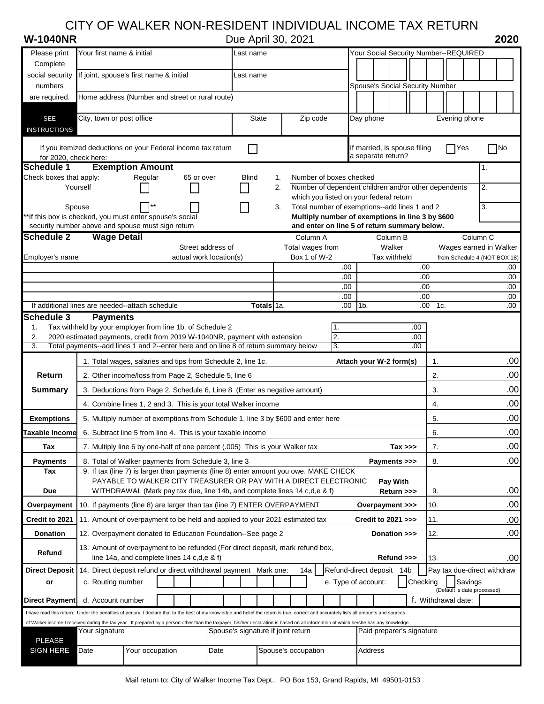# CITY OF WALKER NON-RESIDENT INDIVIDUAL INCOME TAX RETURN

|  |  |  | W-1040NR |  |  |
|--|--|--|----------|--|--|
|--|--|--|----------|--|--|

**W-1040NR** Due April 30, 2021 **2020**

| Please print                      | Your first name & initial                                                                                                                                                                              |                         | Last name      |                                    |                         | Your Social Security Number--REQUIRED                                                    |          |                             |                                     |
|-----------------------------------|--------------------------------------------------------------------------------------------------------------------------------------------------------------------------------------------------------|-------------------------|----------------|------------------------------------|-------------------------|------------------------------------------------------------------------------------------|----------|-----------------------------|-------------------------------------|
| Complete                          |                                                                                                                                                                                                        |                         |                |                                    |                         |                                                                                          |          |                             |                                     |
| social security                   | If joint, spouse's first name & initial                                                                                                                                                                |                         | Last name      |                                    |                         |                                                                                          |          |                             |                                     |
| numbers                           |                                                                                                                                                                                                        |                         |                |                                    |                         | Spouse's Social Security Number                                                          |          |                             |                                     |
| are required.                     | Home address (Number and street or rural route)                                                                                                                                                        |                         |                |                                    |                         |                                                                                          |          |                             |                                     |
| <b>SEE</b>                        | City, town or post office                                                                                                                                                                              |                         | <b>State</b>   | Zip code                           |                         | Day phone                                                                                |          | Evening phone               |                                     |
| <b>INSTRUCTIONS</b>               |                                                                                                                                                                                                        |                         |                |                                    |                         |                                                                                          |          |                             |                                     |
|                                   |                                                                                                                                                                                                        |                         |                |                                    |                         |                                                                                          |          |                             |                                     |
| for 2020, check here:             | If you itemized deductions on your Federal income tax return                                                                                                                                           |                         | $\blacksquare$ |                                    |                         | If married, is spouse filing<br>a separate return?                                       |          | <b>PYes</b>                 | $\sqcap$ No                         |
| <b>Schedule 1</b>                 | <b>Exemption Amount</b>                                                                                                                                                                                |                         |                |                                    |                         |                                                                                          |          |                             | 1.                                  |
| Check boxes that apply:           | Regular                                                                                                                                                                                                | 65 or over              | <b>Blind</b>   | 1.                                 | Number of boxes checked |                                                                                          |          |                             |                                     |
|                                   | Yourself                                                                                                                                                                                               |                         |                | 2.                                 |                         | Number of dependent children and/or other dependents                                     |          |                             | 2.                                  |
| Spouse                            |                                                                                                                                                                                                        |                         |                | 3.                                 |                         | which you listed on your federal return<br>Total number of exemptions--add lines 1 and 2 |          |                             | 3.                                  |
|                                   | *If this box is checked, you must enter spouse's social                                                                                                                                                |                         |                |                                    |                         | Multiply number of exemptions in line 3 by \$600                                         |          |                             |                                     |
|                                   | security number above and spouse must sign return                                                                                                                                                      |                         |                |                                    |                         | and enter on line 5 of return summary below.                                             |          |                             |                                     |
| <b>Schedule 2</b>                 | <b>Wage Detail</b>                                                                                                                                                                                     |                         |                | Column A                           |                         | Column B                                                                                 |          |                             | Column <sub>C</sub>                 |
|                                   |                                                                                                                                                                                                        | Street address of       |                | Total wages from                   |                         | Walker                                                                                   |          |                             | Wages earned in Walker              |
| Employer's name                   |                                                                                                                                                                                                        | actual work location(s) |                | Box 1 of W-2                       | .00                     | Tax withheld                                                                             | .00.     |                             | from Schedule 4 (NOT BOX 18)<br>.00 |
|                                   |                                                                                                                                                                                                        |                         |                |                                    | .00                     |                                                                                          | .00.     |                             | .00                                 |
|                                   |                                                                                                                                                                                                        |                         |                |                                    | .00                     |                                                                                          | .00      |                             | .00                                 |
|                                   |                                                                                                                                                                                                        |                         |                |                                    | .00                     |                                                                                          | .00      |                             | .00<br>.00                          |
| Schedule 3                        | If additional lines are needed--attach schedule<br><b>Payments</b>                                                                                                                                     |                         | Totals 1a.     |                                    | .00                     | 1b.                                                                                      | .00.     | 1c.                         |                                     |
| 1.                                | Tax withheld by your employer from line 1b. of Schedule 2                                                                                                                                              |                         |                |                                    |                         |                                                                                          | .00      |                             |                                     |
| 2.                                | 2020 estimated payments, credit from 2019 W-1040NR, payment with extension                                                                                                                             |                         |                |                                    | 2.                      |                                                                                          | .00.     |                             |                                     |
| 3.                                | Total payments--add lines 1 and 2--enter here and on line 8 of return summary below                                                                                                                    |                         |                |                                    | 3.                      |                                                                                          | .00.     |                             |                                     |
|                                   | 1. Total wages, salaries and tips from Schedule 2, line 1c.                                                                                                                                            |                         |                |                                    |                         | Attach your W-2 form(s)                                                                  |          | 1.                          | .00                                 |
| <b>Return</b>                     | 2. Other income/loss from Page 2, Schedule 5, line 6                                                                                                                                                   |                         |                |                                    |                         |                                                                                          |          | 2.                          | .00                                 |
| <b>Summary</b>                    | 3. Deductions from Page 2, Schedule 6, Line 8 (Enter as negative amount)                                                                                                                               |                         |                |                                    |                         |                                                                                          |          | 3.                          | .00                                 |
|                                   |                                                                                                                                                                                                        |                         |                |                                    |                         |                                                                                          |          | 4.                          |                                     |
|                                   | 4. Combine lines 1, 2 and 3. This is your total Walker income<br>5. Multiply number of exemptions from Schedule 1, line 3 by \$600 and enter here                                                      |                         |                |                                    |                         |                                                                                          |          | .00                         |                                     |
|                                   |                                                                                                                                                                                                        |                         |                |                                    |                         |                                                                                          |          |                             |                                     |
| <b>Exemptions</b>                 |                                                                                                                                                                                                        |                         |                |                                    |                         |                                                                                          |          | 5.                          | .00                                 |
| Taxable Income                    | 6. Subtract line 5 from line 4. This is your taxable income                                                                                                                                            |                         |                |                                    |                         |                                                                                          |          | 6.                          | .00                                 |
| <b>Tax</b>                        | 7. Multiply line 6 by one-half of one percent (.005) This is your Walker tax                                                                                                                           |                         |                |                                    |                         | $Tax \gg$                                                                                |          | 7.                          | .00                                 |
| <b>Payments</b>                   | 8. Total of Walker payments from Schedule 3, line 3                                                                                                                                                    |                         |                |                                    |                         | Payments >>>                                                                             |          | 8.                          | .00                                 |
| Tax                               | 9. If tax (line 7) is larger than payments (line 8) enter amount you owe. MAKE CHECK<br>PAYABLE TO WALKER CITY TREASURER OR PAY WITH A DIRECT ELECTRONIC                                               |                         |                |                                    |                         |                                                                                          |          |                             |                                     |
| Due                               | WITHDRAWAL (Mark pay tax due, line 14b, and complete lines 14 c,d,e & f)                                                                                                                               |                         |                |                                    |                         | Pay With<br>Return >>>                                                                   |          | 9.                          |                                     |
| Overpayment                       | 10. If payments (line 8) are larger than tax (line 7) ENTER OVERPAYMENT                                                                                                                                |                         |                |                                    |                         | Overpayment >>>                                                                          | 10.      |                             | .00                                 |
| Credit to 2021                    | 11. Amount of overpayment to be held and applied to your 2021 estimated tax                                                                                                                            |                         |                |                                    |                         | Credit to 2021 >>>                                                                       | 11.      |                             |                                     |
|                                   |                                                                                                                                                                                                        |                         |                |                                    |                         |                                                                                          |          |                             |                                     |
| <b>Donation</b>                   | 12. Overpayment donated to Education Foundation-See page 2                                                                                                                                             |                         |                |                                    |                         | Donation >>>                                                                             | 12.      |                             | .00 <sub>1</sub>                    |
| Refund                            | 13. Amount of overpayment to be refunded (For direct deposit, mark refund box,                                                                                                                         |                         |                |                                    |                         |                                                                                          |          |                             |                                     |
|                                   | line 14a, and complete lines 14 c,d,e & f)                                                                                                                                                             |                         |                |                                    |                         | Refund >>>                                                                               | 13.      |                             | .00                                 |
| <b>Direct Deposit</b><br>or       | 14. Direct deposit refund or direct withdrawal payment Mark one:<br>c. Routing number                                                                                                                  |                         |                | 14a                                |                         | Refund-direct deposit 14b<br>e. Type of account:                                         | Checking | Savings                     | Pay tax due-direct withdraw         |
|                                   |                                                                                                                                                                                                        |                         |                |                                    |                         |                                                                                          |          | (Default is date processed) |                                     |
| <b>Direct Payment</b>             | d. Account number                                                                                                                                                                                      |                         |                |                                    |                         |                                                                                          |          | f. Withdrawal date:         |                                     |
|                                   | I have read this return. Under the penalties of perjury, I declare that to the best of my knowledge and belief the return is true, correct and accurately lists all amounts and sources                |                         |                |                                    |                         |                                                                                          |          |                             |                                     |
|                                   | of Walker income I received during the tax year. If prepared by a person other than the taxpayer, his/her declaration is based on all information of which he/she has any knowledge.<br>Your signature |                         |                | Spouse's signature if joint return |                         | Paid preparer's signature                                                                |          |                             |                                     |
| <b>PLEASE</b><br><b>SIGN HERE</b> | Date<br>Your occupation                                                                                                                                                                                | Date                    |                | Spouse's occupation                |                         | Address                                                                                  |          |                             | .00<br>.00                          |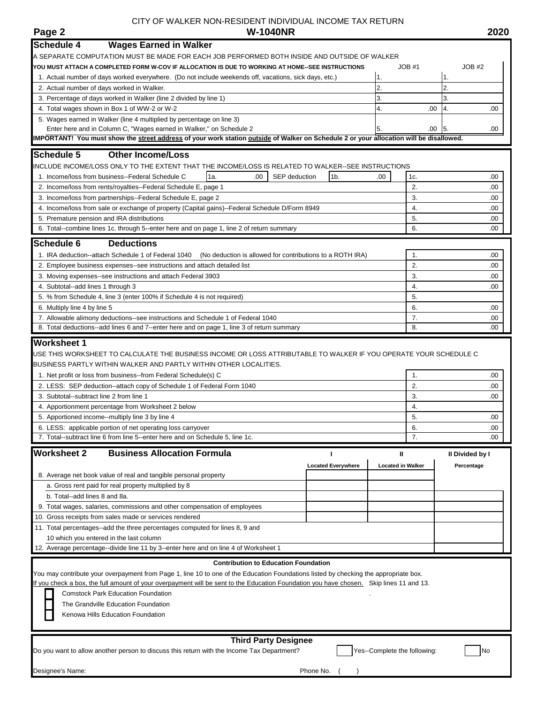# CITY OF WALKER NON-RESIDENT INDIVIDUAL INCOME TAX RETURN<br>**W-1040NR**

| Page 2                                   | <b>W-1040NR</b>                                                                                                                         |                           |                              |       |                 | 2020 |
|------------------------------------------|-----------------------------------------------------------------------------------------------------------------------------------------|---------------------------|------------------------------|-------|-----------------|------|
| <b>Schedule 4</b>                        | <b>Wages Earned in Walker</b>                                                                                                           |                           |                              |       |                 |      |
|                                          | A SEPARATE COMPUTATION MUST BE MADE FOR EACH JOB PERFORMED BOTH INSIDE AND OUTSIDE OF WALKER                                            |                           |                              |       |                 |      |
|                                          | YOU MUST ATTACH A COMPLETED FORM W-COV IF ALLOCATION IS DUE TO WORKING AT HOME--SEE INSTRUCTIONS                                        |                           |                              | JOB#1 | JOB#2           |      |
|                                          | 1. Actual number of days worked everywhere. (Do not include weekends off, vacations, sick days, etc.)                                   |                           | 1.                           |       | 1.              |      |
|                                          | 2. Actual number of days worked in Walker.                                                                                              |                           | 2.                           |       | $\overline{2}$  |      |
|                                          | 3. Percentage of days worked in Walker (line 2 divided by line 1)                                                                       |                           | 3.                           |       | 3.              |      |
|                                          | 4. Total wages shown in Box 1 of WW-2 or W-2                                                                                            |                           | 4.                           | .00   | 4.              | .00  |
|                                          | 5. Wages earned in Walker (line 4 multiplied by percentage on line 3)                                                                   |                           |                              |       |                 |      |
|                                          | Enter here and in Column C, "Wages earned in Walker," on Schedule 2                                                                     |                           | 5.                           | .00   | 5.              | .00  |
|                                          | IMPORTANT! You must show the street address of your work station outside of Walker on Schedule 2 or your allocation will be disallowed. |                           |                              |       |                 |      |
|                                          |                                                                                                                                         |                           |                              |       |                 |      |
| <b>Schedule 5</b>                        | <b>Other Income/Loss</b>                                                                                                                |                           |                              |       |                 |      |
|                                          | INCLUDE INCOME/LOSS ONLY TO THE EXTENT THAT THE INCOME/LOSS IS RELATED TO WALKER--SEE INSTRUCTIONS                                      |                           |                              |       |                 |      |
|                                          | 1a.<br>SEP deduction<br>.00<br>1. Income/loss from business--Federal Schedule C                                                         | 1 <sub>b</sub>            | .00                          | 1c.   |                 | .00  |
|                                          | 2. Income/loss from rents/royalties--Federal Schedule E, page 1                                                                         |                           |                              | 2.    |                 | .00  |
|                                          | 3. Income/loss from partnerships--Federal Schedule E, page 2                                                                            |                           |                              | 3.    |                 | .00  |
|                                          | 4. Income/loss from sale or exchange of property (Capital gains)--Federal Schedule D/Form 8949                                          |                           |                              | 4.    |                 | .00  |
|                                          | 5. Premature pension and IRA distributions                                                                                              |                           |                              | 5.    |                 | .00  |
|                                          | 6. Total--combine lines 1c. through 5--enter here and on page 1, line 2 of return summary                                               |                           |                              | 6.    |                 | .00  |
| <b>Schedule 6</b>                        | <b>Deductions</b>                                                                                                                       |                           |                              |       |                 |      |
|                                          | 1. IRA deduction--attach Schedule 1 of Federal 1040<br>(No deduction is allowed for contributions to a ROTH IRA)                        |                           |                              | 1.    |                 | .00  |
|                                          | 2. Employee business expenses--see instructions and attach detailed list                                                                |                           |                              | 2.    |                 | .00  |
|                                          | 3. Moving expenses--see instructions and attach Federal 3903                                                                            |                           |                              | 3.    |                 | .00  |
| 4. Subtotal--add lines 1 through 3       |                                                                                                                                         |                           |                              | 4.    |                 | .00  |
|                                          | 5. % from Schedule 4, line 3 (enter 100% if Schedule 4 is not required)                                                                 |                           |                              | 5.    |                 |      |
| 6. Multiply line 4 by line 5             |                                                                                                                                         |                           |                              | 6.    |                 | .00  |
|                                          | 7. Allowable alimony deductions--see instructions and Schedule 1 of Federal 1040                                                        |                           |                              | 7.    |                 | .00. |
|                                          | 8. Total deductions--add lines 6 and 7--enter here and on page 1, line 3 of return summary                                              |                           |                              | 8.    |                 | .00  |
|                                          |                                                                                                                                         |                           |                              |       |                 |      |
| <b>Worksheet 1</b>                       |                                                                                                                                         |                           |                              |       |                 |      |
|                                          | USE THIS WORKSHEET TO CALCULATE THE BUSINESS INCOME OR LOSS ATTRIBUTABLE TO WALKER IF YOU OPERATE YOUR SCHEDULE C                       |                           |                              |       |                 |      |
|                                          | BUSINESS PARTLY WITHIN WALKER AND PARTLY WITHIN OTHER LOCALITIES.                                                                       |                           |                              |       |                 |      |
|                                          | 1. Net profit or loss from business--from Federal Schedule(s) C                                                                         |                           |                              | 1.    |                 | .00. |
|                                          | 2. LESS: SEP deduction--attach copy of Schedule 1 of Federal Form 1040                                                                  |                           |                              | 2.    |                 | .00  |
| 3. Subtotal--subtract line 2 from line 1 |                                                                                                                                         |                           |                              | 3.    |                 | .00. |
|                                          | 4. Apportionment percentage from Worksheet 2 below                                                                                      |                           |                              | 4.    |                 |      |
|                                          | 5. Apportioned income--multiply line 3 by line 4                                                                                        |                           |                              | 5.    |                 | .00  |
|                                          | 6. LESS: applicable portion of net operating loss carryover                                                                             |                           |                              | 6.    |                 | .00  |
|                                          | 7. Total--subtract line 6 from line 5--enter here and on Schedule 5, line 1c.                                                           |                           |                              | 7.    |                 | .00  |
| <b>Worksheet 2</b>                       | <b>Business Allocation Formula</b>                                                                                                      | L                         | Ш                            |       | II Divided by I |      |
|                                          |                                                                                                                                         | <b>Located Everywhere</b> | <b>Located in Walker</b>     |       | Percentage      |      |
|                                          | 8. Average net book value of real and tangible personal property                                                                        |                           |                              |       |                 |      |
|                                          | a. Gross rent paid for real property multiplied by 8                                                                                    |                           |                              |       |                 |      |
| b. Total--add lines 8 and 8a.            |                                                                                                                                         |                           |                              |       |                 |      |
|                                          | 9. Total wages, salaries, commissions and other compensation of employees                                                               |                           |                              |       |                 |      |
|                                          | 10. Gross receipts from sales made or services rendered                                                                                 |                           |                              |       |                 |      |
|                                          |                                                                                                                                         |                           |                              |       |                 |      |
|                                          | 11. Total percentages--add the three percentages computed for lines 8, 9 and                                                            |                           |                              |       |                 |      |
|                                          | 10 which you entered in the last column                                                                                                 |                           |                              |       |                 |      |
|                                          | 12. Average percentage--divide line 11 by 3--enter here and on line 4 of Worksheet 1                                                    |                           |                              |       |                 |      |
|                                          | <b>Contribution to Education Foundation</b>                                                                                             |                           |                              |       |                 |      |
|                                          | You may contribute your overpayment from Page 1, line 10 to one of the Education Foundations listed by checking the appropriate box.    |                           |                              |       |                 |      |
|                                          | If you check a box, the full amount of your overpayment will be sent to the Education Foundation you have chosen. Skip lines 11 and 13. |                           |                              |       |                 |      |
|                                          | <b>Comstock Park Education Foundation</b>                                                                                               |                           |                              |       |                 |      |
|                                          | The Grandville Education Foundation                                                                                                     |                           |                              |       |                 |      |
|                                          | Kenowa Hills Education Foundation                                                                                                       |                           |                              |       |                 |      |
|                                          |                                                                                                                                         |                           |                              |       |                 |      |
|                                          | <b>Third Party Designee</b>                                                                                                             |                           |                              |       |                 |      |
|                                          | Do you want to allow another person to discuss this return with the Income Tax Department?                                              |                           | Yes--Complete the following: |       | No              |      |
|                                          |                                                                                                                                         |                           |                              |       |                 |      |
| Designee's Name:                         |                                                                                                                                         | Phone No.                 |                              |       |                 |      |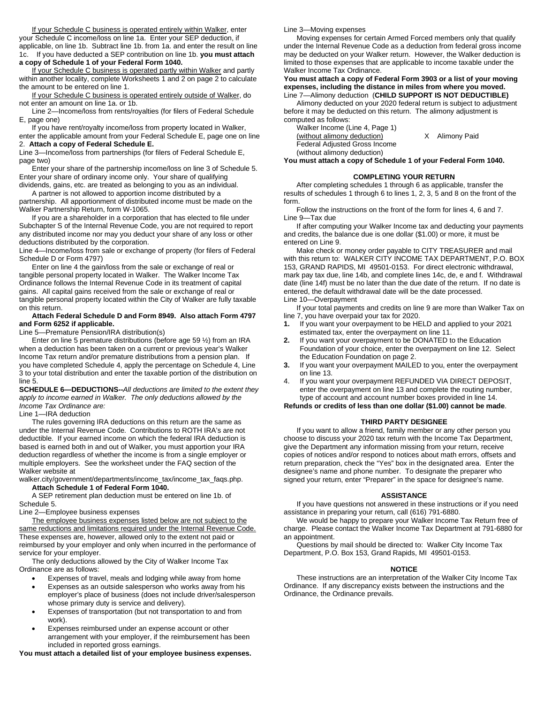If your Schedule C business is operated entirely within Walker, enter your Schedule C income/loss on line 1a. Enter your SEP deduction, if applicable, on line 1b. Subtract line 1b. from 1a. and enter the result on line 1c. If you have deducted a SEP contribution on line 1b. **you must attach a copy of Schedule 1 of your Federal Form 1040.**

If your Schedule C business is operated partly within Walker and partly within another locality, complete Worksheets 1 and 2 on page 2 to calculate the amount to be entered on line 1.

If your Schedule C business is operated entirely outside of Walker, do not enter an amount on line 1a. or 1b.

Line 2—Income/loss from rents/royalties (for filers of Federal Schedule E, page one)

If you have rent/royalty income/loss from property located in Walker, enter the applicable amount from your Federal Schedule E, page one on line 2. **Attach a copy of Federal Schedule E.**

Line 3—Income/loss from partnerships (for filers of Federal Schedule E, page two)

Enter your share of the partnership income/loss on line 3 of Schedule 5. Enter your share of ordinary income only. Your share of qualifying dividends, gains, etc. are treated as belonging to you as an individual.

A partner is not allowed to apportion income distributed by a partnership. All apportionment of distributed income must be made on the

Walker Partnership Return, form W-1065. If you are a shareholder in a corporation that has elected to file under

Subchapter S of the Internal Revenue Code, you are not required to report any distributed income nor may you deduct your share of any loss or other deductions distributed by the corporation.

Line 4—Income/loss from sale or exchange of property (for filers of Federal Schedule D or Form 4797)

Enter on line 4 the gain/loss from the sale or exchange of real or tangible personal property located in Walker. The Walker Income Tax Ordinance follows the Internal Revenue Code in its treatment of capital gains. All capital gains received from the sale or exchange of real or tangible personal property located within the City of Walker are fully taxable on this return.

#### **Attach Federal Schedule D and Form 8949. Also attach Form 4797 and Form 6252 if applicable.**

Line 5—Premature Pension/IRA distribution(s)

Enter on line 5 premature distributions (before age 59 ½) from an IRA when a deduction has been taken on a current or previous year's Walker Income Tax return and/or premature distributions from a pension plan. If you have completed Schedule 4, apply the percentage on Schedule 4, Line 3 to your total distribution and enter the taxable portion of the distribution on line 5.

**SCHEDULE 6—DEDUCTIONS--***All deductions are limited to the extent they apply to income earned in Walker. The only deductions allowed by the Income Tax Ordinance are:*

Line 1—IRA deduction

The rules governing IRA deductions on this return are the same as under the Internal Revenue Code. Contributions to ROTH IRA's are not deductible. If your earned income on which the federal IRA deduction is based is earned both in and out of Walker, you must apportion your IRA deduction regardless of whether the income is from a single employer or multiple employers. See the worksheet under the FAQ section of the Walker website at

walker.city/government/departments/income\_tax/income\_tax\_faqs.php. **Attach Schedule 1 of Federal Form 1040.**

A SEP retirement plan deduction must be entered on line 1b. of

Schedule 5.

Line 2—Employee business expenses

The employee business expenses listed below are not subject to the same reductions and limitations required under the Internal Revenue Code. These expenses are, however, allowed only to the extent not paid or reimbursed by your employer and only when incurred in the performance of service for your employer.

The only deductions allowed by the City of Walker Income Tax Ordinance are as follows:

- Expenses of travel, meals and lodging while away from home
- Expenses as an outside salesperson who works away from his employer's place of business (does not include driver/salesperson whose primary duty is service and delivery).
- Expenses of transportation (but not transportation to and from work).
- Expenses reimbursed under an expense account or other arrangement with your employer, if the reimbursement has been included in reported gross earnings.

**You must attach a detailed list of your employee business expenses.**

Line 3—Moving expenses

Moving expenses for certain Armed Forced members only that qualify under the Internal Revenue Code as a deduction from federal gross income may be deducted on your Walker return. However, the Walker deduction is limited to those expenses that are applicable to income taxable under the Walker Income Tax Ordinance.

#### **You must attach a copy of Federal Form 3903 or a list of your moving expenses, including the distance in miles from where you moved.** Line 7—Alimony deduction (**CHILD SUPPORT IS NOT DEDUCTIBLE)**

Alimony deducted on your 2020 federal return is subject to adjustment before it may be deducted on this return. The alimony adjustment is computed as follows:

Walker Income (Line 4, Page 1) (without alimony deduction) X Alimony Paid Federal Adjusted Gross Income (without alimony deduction)

**You must attach a copy of Schedule 1 of your Federal Form 1040.**

# **COMPLETING YOUR RETURN**

After completing schedules 1 through 6 as applicable, transfer the results of schedules 1 through 6 to lines 1, 2, 3, 5 and 8 on the front of the form.

Follow the instructions on the front of the form for lines 4, 6 and 7. Line 9—Tax due

If after computing your Walker Income tax and deducting your payments and credits, the balance due is one dollar (\$1.00) or more, it must be entered on Line 9.

Make check or money order payable to CITY TREASURER and mail with this return to: WALKER CITY INCOME TAX DEPARTMENT, P.O. BOX 153, GRAND RAPIDS, MI 49501-0153. For direct electronic withdrawal, mark pay tax due, line 14b, and complete lines 14c, de, e and f. Withdrawal date (line 14f) must be no later than the due date of the return. If no date is entered, the default withdrawal date will be the date processed. Line 10—Overpayment

If your total payments and credits on line 9 are more than Walker Tax on line 7, you have overpaid your tax for 2020.

- **1.** If you want your overpayment to be HELD and applied to your 2021 estimated tax, enter the overpayment on line 11.
- **2.** If you want your overpayment to be DONATED to the Education Foundation of your choice, enter the overpayment on line 12. Select the Education Foundation on page 2.
- **3.** If you want your overpayment MAILED to you, enter the overpayment on line 13.
- 4. If you want your overpayment REFUNDED VIA DIRECT DEPOSIT, enter the overpayment on line 13 and complete the routing number, type of account and account number boxes provided in line 14.

# **Refunds or credits of less than one dollar (\$1.00) cannot be made**.

# **THIRD PARTY DESIGNEE**

If you want to allow a friend, family member or any other person you choose to discuss your 2020 tax return with the Income Tax Department, give the Department any information missing from your return, receive copies of notices and/or respond to notices about math errors, offsets and return preparation, check the "Yes" box in the designated area. Enter the designee's name and phone number. To designate the preparer who signed your return, enter "Preparer" in the space for designee's name.

# **ASSISTANCE**

If you have questions not answered in these instructions or if you need assistance in preparing your return, call (616) 791-6880.

We would be happy to prepare your Walker Income Tax Return free of charge. Please contact the Walker Income Tax Department at 791-6880 for an appointment.

Questions by mail should be directed to: Walker City Income Tax Department, P.O. Box 153, Grand Rapids, MI 49501-0153.

# **NOTICE**

These instructions are an interpretation of the Walker City Income Tax Ordinance. If any discrepancy exists between the instructions and the Ordinance, the Ordinance prevails.